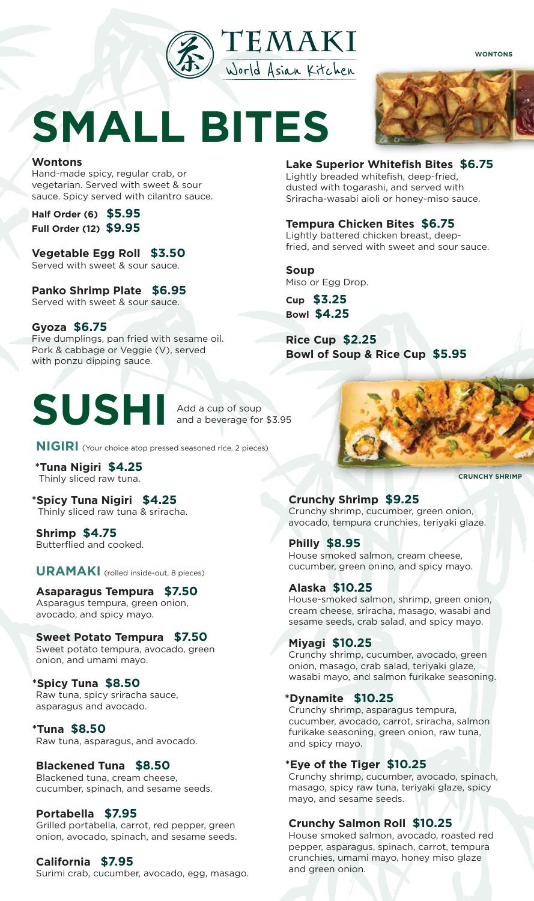

**WONTONS**

# **SMALL BITES**

#### **Wontons**

Hand-made spicy, regular crab, or vegetarian. Served with sweet & sour sauce. Spicy served with cilantro sauce.

**Half Order (6) \$5.95 Full Order (12) \$9.95**

**Vegetable Egg Roll \$3.50** Served with sweet & sour sauce.

**Panko Shrimp Plate \$6.95** Served with sweet & sour sauce.

**Gyoza \$6.75** Five dumplings, pan fried with sesame oil. Pork & cabbage or Veggie (V), served with ponzu dipping sauce.

## **SUSHI**

Add a cup of soup and a beverage for \$3.95

**NIGIRI** (Your choice atop pressed seasoned rice, 2 pieces)

**\*Tuna Nigiri \$4.25** Thinly sliced raw tuna.

**\*Spicy Tuna Nigiri \$4.25** Thinly sliced raw tuna & sriracha.

**Shrimp \$4.75** Butterflied and cooked.

**URAMAKI** (rolled inside-out, 8 pieces)

#### **Asaparagus Tempura \$7.50** Asparagus tempura, green onion, avocado, and spicy mayo.

#### **Sweet Potato Tempura \$7.50**

Sweet potato tempura, avocado, green onion, and umami mayo.

#### **\*Spicy Tuna \$8.50**

Raw tuna, spicy sriracha sauce, asparagus and avocado.

#### **\*Tuna \$8.50**

Raw tuna, asparagus, and avocado.

#### **Blackened Tuna \$8.50**

Blackened tuna, cream cheese, cucumber, spinach, and sesame seeds.

#### **Portabella \$7.95**

Grilled portabella, carrot, red pepper, green onion, avocado, spinach, and sesame seeds.

### **California \$7.95**

Surimi crab, cucumber, avocado, egg, masago.

**Lake Superior Whitefish Bites \$6.75**  Lightly breaded whitefish, deep-fried, dusted with togarashi, and served with Sriracha-wasabi aioli or honey-miso sauce.

**Tempura Chicken Bites \$6.75**

Lightly battered chicken breast, deepfried, and served with sweet and sour sauce.

**Soup** Miso or Egg Drop.

**Cup \$3.25 Bowl \$4.25**

**Rice Cup \$2.25 Bowl of Soup & Rice Cup \$5.95**

### **Crunchy Shrimp \$9.25**

Crunchy shrimp, cucumber, green onion, avocado, tempura crunchies, teriyaki glaze.

**Philly \$8.95** House smoked salmon, cream cheese, cucumber, green onino, and spicy mayo.

#### **Alaska \$10.25**

House-smoked salmon, shrimp, green onion, cream cheese, sriracha, masago, wasabi and sesame seeds, crab salad, and spicy mayo.

#### **Miyagi \$10.25**

Crunchy shrimp, cucumber, avocado, green onion, masago, crab salad, teriyaki glaze, wasabi mayo, and salmon furikake seasoning.

#### **\*Dynamite \$10.25**

Crunchy shrimp, asparagus tempura, cucumber, avocado, carrot, sriracha, salmon furikake seasoning, green onion, raw tuna, and spicy mayo.

#### **\*Eye of the Tiger \$10.25**

Crunchy shrimp, cucumber, avocado, spinach, masago, spicy raw tuna, teriyaki glaze, spicy mayo, and sesame seeds.

#### **Crunchy Salmon Roll \$10.25**

House smoked salmon, avocado, roasted red pepper, asparagus, spinach, carrot, tempura crunchies, umami mayo, honey miso glaze and green onion.

**CRUNCHY SHRIMP**